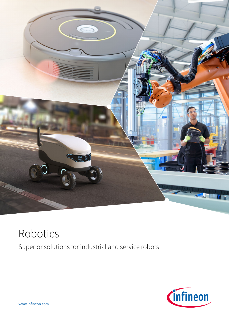

# Robotics Superior solutions for industrial and service robots



www.infineon.com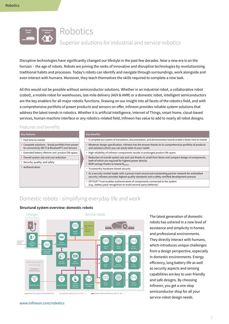

# Robotics

## Superior solutions for industrial and service robotics

Disruptive technologies have significantly changed our lifestyle in the past few decades. Now a new era is on the horizon – the age of robots. Robots are joining the ranks of innovative and disruptive technologies by revolutionizing traditional habits and processes. Today's robots can identify and navigate through surroundings, work alongside and even interact with humans. Moreover, they teach themselves the skills required to complete a new task.

All this would not be possible without semiconductor solutions. Whether in an industrial robot, a collaborative robot (cobot), a mobile robot for warehouses, last-mile delivery (AGV & AMR) or a domestic robot, intelligent semiconductors are the key enablers for all major robotic functions. Drawing on our insight into all facets of the robotics field, and with a comprehensive portfolio of power products and sensors on offer, Infineon provides reliable system solutions that address the latest trends in robotics. Whether it is artificial intelligence, Internet of Things, smart home, cloud-based services, human-machine interface or any robotics-related field, Infineon has value to add to nearly all robot designs.

## Features and benefits

| <b>Key features</b>                                                                                 |  | <b>Key benefits</b>                                                                                                                                                                                       |
|-----------------------------------------------------------------------------------------------------|--|-----------------------------------------------------------------------------------------------------------------------------------------------------------------------------------------------------------|
| Fast time to market                                                                                 |  | > A complete eco-system of simulations, documentation, and demonstration boards enable a faster time to market                                                                                            |
| Complete solutions - broad portfolio from power<br>to connectivity (Wi-Fi & Bluetooth®) and Sensors |  | Whatever design specification, Infineon has the answer thanks to its comprehensive portfolio of products<br>and solutions which you can easily tailor to your needs                                       |
| Extended battery lifetime and product life spans                                                    |  | High reliability of Infineon components results in prolonged product life spans                                                                                                                           |
| Overall system size and cost reduction                                                              |  | Reduction of overall system size and cost thanks to small form factor and compact design of components,                                                                                                   |
| Security, quality, and safety                                                                       |  | both of which are required for highest power density<br>BOM savings thanks to lowest $R_{DS(0n)}$                                                                                                         |
| Authentication                                                                                      |  | Trustworthy hardware-based security                                                                                                                                                                       |
|                                                                                                     |  | > As a security market leader with a proven track record and outstanding partner network for embedded<br>security, Infineon provides highest quality standards and a safety-certified development process |
|                                                                                                     |  | OPTIGA™ Trust enables authentication of components connected to the system<br>(e.g., battery pack recognition to avoid second-party batteries)                                                            |

## Domestic robots - simplifying everyday life and work



**Structural system overview: domestic robots**

www.infineon.com/robotics

The latest generation of domestic robots has ushered in a new level of assistance and simplicity in homes and professional environments. They directly interact with humans, which introduces unique challenges from a design perspective, especially in domestic environments. Energy efficiency, long battery life as well as security aspects and sensing capabilities are key to user-friendly and safe designs. By choosing Infineon, you get a one-stop semiconductor shop for all your service-robot design needs.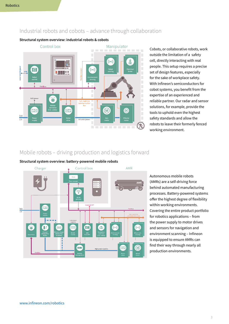## Industrial robots and cobots – advance through collaboration

**Structural system overview: industrial robots & cobots**



Cobots, or collaborative robots, work outside the limitation of a safety cell, directly interacting with real people. This setup requires a precise set of design features, especially for the sake of workplace safety. With Infineon's semiconductors for cobot systems, you benefit from the expertise of an experienced and reliable partner. Our radar and sensor solutions, for example, provide the tools to uphold even the highest safety standards and allow the robots to leave their formerly fenced working environment.

## Mobile robots – driving production and logistics forward

### **Structural system overview: battery-powered mobile robots**



Autonomous mobile robots (AMRs) are a self-driving force behind automated manufacturing processes. Battery-powered systems offer the highest degree of flexibility within working environments. Covering the entire product portfolio for robotics applications – from the power supply to motor drives and sensors for navigation and environment scanning – Infineon is equipped to ensure AMRs can find their way through nearly all production environments.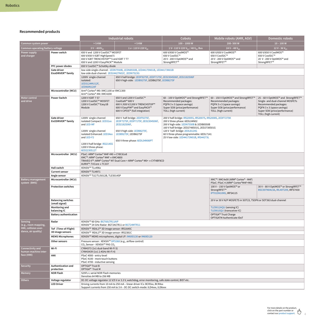## **Recommended products**

|                                             |                                             | <b>Industrial robots</b>                                                                                                                                                                                 |                                                                                                                                                                              | <b>Cobots</b>                                                                                                                                                                                                                                                                                             | Mobile robots (AMR, AGV)                                                                                                                            | <b>Domestic robots</b>                                                                                                                                                                 |  |  |  |
|---------------------------------------------|---------------------------------------------|----------------------------------------------------------------------------------------------------------------------------------------------------------------------------------------------------------|------------------------------------------------------------------------------------------------------------------------------------------------------------------------------|-----------------------------------------------------------------------------------------------------------------------------------------------------------------------------------------------------------------------------------------------------------------------------------------------------------|-----------------------------------------------------------------------------------------------------------------------------------------------------|----------------------------------------------------------------------------------------------------------------------------------------------------------------------------------------|--|--|--|
| Common system power                         |                                             | > 5 KW                                                                                                                                                                                                   | $< 5$ KW                                                                                                                                                                     | $100 - 1000W$                                                                                                                                                                                                                                                                                             | 200-500W                                                                                                                                            | $10 - 100 W$                                                                                                                                                                           |  |  |  |
| Common operating/battery voltage            |                                             | $3 V \sim 400 V_{ac}$                                                                                                                                                                                    | 1 v~ 110 V-220 V <sub>AC</sub>                                                                                                                                               | 1 V~ 110 V-220 V <sub>AC</sub> / 48 V <sub>DC</sub> Bus                                                                                                                                                                                                                                                   | 24 V – 48 $V_{\text{nc}}$                                                                                                                           | 12 V - 36 $V_{\rm DC}$                                                                                                                                                                 |  |  |  |
| Power supply<br>and charger                 | <b>Power switch</b>                         | 650 V and 1200 V CoolSiC™ MOSFET<br>600 V/650 V IGBT HighSpeed 5<br>650 V IGBT TRENCHSTOP™ 5 and IGBT 7 T7<br>650 V and 1200 V EasyPACK™ Module                                                          |                                                                                                                                                                              | 600 V/650 V CoolMOS™<br>650 V CoolSiC™<br>20 V - 200 V OptiMOS™ and<br>StrongIRFET™                                                                                                                                                                                                                       | 600 V/650 V CoolMOS™<br>650 V CoolSiC™<br>20 V - 200 V OptiMOS™ and<br>StrongIRFET™                                                                 | 600 V/650 V CoolMOS™<br>650 V CoolSiC™<br>20 V - 200 V OptiMOS™ and<br>StrongIRFET™                                                                                                    |  |  |  |
|                                             | PFC power diodes                            | 650 V CoolSiC™ Schottky diode                                                                                                                                                                            |                                                                                                                                                                              |                                                                                                                                                                                                                                                                                                           |                                                                                                                                                     |                                                                                                                                                                                        |  |  |  |
|                                             | Gate driver<br>EiceDRIVER™ family           | low-side single-channel: 1EDN7550B, 1EDN8550B, 1ED44175N01B, 1ED44173N01B<br>low-side dual-channel: 2ED24427N01F, 2EDN7523G                                                                              |                                                                                                                                                                              |                                                                                                                                                                                                                                                                                                           |                                                                                                                                                     |                                                                                                                                                                                        |  |  |  |
|                                             |                                             | 1200V single-channel<br>650 V half-bridge: 2EDF9275F, 2EDF7175F, 2ED2304S06F, 2ED2182S06F<br>isolated:<br>650 V high-side: 1EDB9275F, 1EDB6275F, 1EDB8275F<br>1ED3124MU12F,<br>1EDI60N12AF               |                                                                                                                                                                              |                                                                                                                                                                                                                                                                                                           |                                                                                                                                                     |                                                                                                                                                                                        |  |  |  |
|                                             | Microcontroller (MCU)                       | Arm® Cortex®-M0: XMC1100 or XMC1300<br>Arm® Cortex®-M4: XMC4200                                                                                                                                          |                                                                                                                                                                              |                                                                                                                                                                                                                                                                                                           |                                                                                                                                                     |                                                                                                                                                                                        |  |  |  |
| Motor control<br>and drive                  | <b>Power Switch</b>                         | 1200 V IGBT 7 S7<br>1200 V CoolSiC™ MOSFET<br>1200 V CoolSiC™ Easy1B<br>Module                                                                                                                           | 650 V and 1200 V CoolSiC™<br>CoolGaN™ 600 V<br>600 V /650 V/1200 V TRENCHSTOP™<br>600 V EasyPIM™ and EasyPACK™<br>600 V CIPOS™ (full integration)                            | 60 - 100 V OptiMOS™ and StrongIRFET™<br>Recommended packages:<br>PQFN 3 x 3 (space savings)<br>Super SO8 (price/performance)<br>TOLL (high current)                                                                                                                                                       | 60 - 150 V OptiMOS™ and StrongIRFET™<br>Recommended packages:<br>PQFN 3 x 3 (space savings)<br>Super SO8 (price/performance)<br>TOLL (high current) | 25 - 60 V OptiMOS™ and StrongIRFET™<br>Single- and dual-channel MOSFETs<br>Recommended packages:<br>PQFN 3 x 3 (space savings)<br>Super SO8 (price/performance)<br>TOLL (high current) |  |  |  |
|                                             | Gate driver<br>EicEDRIVER™ family           | 1200V single-channel<br>isolated Compact: 1ED31xx<br>and 1ED-MF<br>1200V single-channel<br>isolated Enhanced: 1ED34xx<br>and 1ED-F2<br>1200 V half-bridge IR2214SS<br>1200 V three-phase:<br>6ED2230S12T | 650 V half-bridge: 2EDF9275F,<br>2EDF7275F, 2EDF7175F, 2ED2304S06F,<br>2ED2182S06F,<br>650 V high-side: 1EDB8275F,<br>1EDB9275F, 1EDB6275F<br>650 V three-phase: 6EDL04N06PT | 200 V half-bridge: IRS2005S, IRS2007S, IRS2008S, 2EDF7275K<br>200 V three-phase: 6EDL04N02<br>200 V high-side: 1EDN7550B & 1EDB8550B<br>160 V half-bridge: 2ED2748S01G, 2ED2738S01G<br>120 V half- bridge: 2EDL8124G<br>60 V three-phase programmable: 6EDL7141<br>25 V low-side: 1ED44173N01B, IRS44273L |                                                                                                                                                     |                                                                                                                                                                                        |  |  |  |
|                                             | Microcontroller (MCU)                       | PSoC: ARM® Cortex® M4F+M0 → CY8C61x8<br>XMC™: ARM® Cortex® M4F → XMC4800<br>TRAVEO II™: ARM® Cortex® M7 Dual Core + ARM® Cortex® M0+ → CYT4BF8CD<br>AURIX <sup>™</sup> : TriCore → TC337                 |                                                                                                                                                                              |                                                                                                                                                                                                                                                                                                           |                                                                                                                                                     |                                                                                                                                                                                        |  |  |  |
|                                             | <b>Hall switch</b>                          | XENSIV™ TLx496x                                                                                                                                                                                          |                                                                                                                                                                              |                                                                                                                                                                                                                                                                                                           |                                                                                                                                                     |                                                                                                                                                                                        |  |  |  |
|                                             | <b>Current sensor</b>                       | XENSIV™ TLI4971                                                                                                                                                                                          |                                                                                                                                                                              |                                                                                                                                                                                                                                                                                                           |                                                                                                                                                     |                                                                                                                                                                                        |  |  |  |
| <b>Battery management</b>                   | Angle sensor<br>Microcontroller (MCU)       | XENSIV™ TLE/TLI5012B, TLE5014SP<br>XMC™: XMC4x00 (ARM® Cortex® - M4F)                                                                                                                                    |                                                                                                                                                                              |                                                                                                                                                                                                                                                                                                           |                                                                                                                                                     |                                                                                                                                                                                        |  |  |  |
| system (BMS)                                |                                             | PSoC: PSoC 4 (ARM® Cortex®M4F+M0)                                                                                                                                                                        |                                                                                                                                                                              |                                                                                                                                                                                                                                                                                                           |                                                                                                                                                     |                                                                                                                                                                                        |  |  |  |
|                                             | <b>Protection switches</b>                  |                                                                                                                                                                                                          |                                                                                                                                                                              | 100 V - 150 V OptiMOS™ or<br>StrongIRFET™<br>IPT015N10N5, IRFS4115                                                                                                                                                                                                                                        | 30 V - 80 V OptiMOS™ or StrongIRFET™<br>BSC007N04LS6, IRL40T209, IRFS7430                                                                           |                                                                                                                                                                                        |  |  |  |
|                                             | <b>Balancing switches</b><br>(small signal) | 20 V or 30 V N/P MOSFETS in SOT23, TSOP6 or SOT363 dual-channel                                                                                                                                          |                                                                                                                                                                              |                                                                                                                                                                                                                                                                                                           |                                                                                                                                                     |                                                                                                                                                                                        |  |  |  |
|                                             | Monitoring and<br>balancing IC              |                                                                                                                                                                                                          |                                                                                                                                                                              | TLE9012AQU (sensing IC)<br>TLE9015QU (transceiver IC)                                                                                                                                                                                                                                                     |                                                                                                                                                     |                                                                                                                                                                                        |  |  |  |
|                                             | <b>Battery authentication</b>               |                                                                                                                                                                                                          |                                                                                                                                                                              | OPTIGA™ Trust Charge<br>OPTIGATM Authenticate IDoT                                                                                                                                                                                                                                                        |                                                                                                                                                     |                                                                                                                                                                                        |  |  |  |
| <b>Sensing</b><br>(e.g., room mapping,      | Radar                                       | XENSIV™ 60 GHz: BGT60LTR11AIP<br>XENSIV™ 24 GHz Radar: BGT24LTR11 or BGT24MTR11                                                                                                                          |                                                                                                                                                                              |                                                                                                                                                                                                                                                                                                           |                                                                                                                                                     |                                                                                                                                                                                        |  |  |  |
| HMI, collision avoi-<br>dance, air quality) | ToF (Time-of-Flight)<br>3D image sensors    | XENSIV™ REAL3™ 3D image sensor: IRS1645C                                                                                                                                                                 |                                                                                                                                                                              |                                                                                                                                                                                                                                                                                                           |                                                                                                                                                     |                                                                                                                                                                                        |  |  |  |
|                                             | <b>MEMS Microphones</b>                     | XENSIV™ REAL3™ 3D image sensor: IRS2381C<br>XENSIV™ MEMS microphones, digital I/F: IM69D130 or IM69D120                                                                                                  |                                                                                                                                                                              |                                                                                                                                                                                                                                                                                                           |                                                                                                                                                     |                                                                                                                                                                                        |  |  |  |
|                                             | Other sensors                               | Pressure sensor: XENSIV™ DPS368 (e.g., airflow control)                                                                                                                                                  |                                                                                                                                                                              |                                                                                                                                                                                                                                                                                                           |                                                                                                                                                     |                                                                                                                                                                                        |  |  |  |
| Connectivity and                            | Wi-Fi                                       | CO <sub>2</sub> Sensor - XENSIV™ PAS CO <sub>2</sub><br>CYW4373 (1x1 dual-band Wi-Fi 5)                                                                                                                  |                                                                                                                                                                              |                                                                                                                                                                                                                                                                                                           |                                                                                                                                                     |                                                                                                                                                                                        |  |  |  |
| human-machine inter-                        |                                             | CYW43439 (1x1 2.4GHz Wi-Fi 4)                                                                                                                                                                            |                                                                                                                                                                              |                                                                                                                                                                                                                                                                                                           |                                                                                                                                                     |                                                                                                                                                                                        |  |  |  |
| face (HMI)                                  | HMI                                         | PSoC 4000 - entry-level<br>PSoC 4100 - more touch buttons<br>PSoC 4700 - inductive sensing                                                                                                               |                                                                                                                                                                              |                                                                                                                                                                                                                                                                                                           |                                                                                                                                                     |                                                                                                                                                                                        |  |  |  |
| Security                                    | Authentication and<br>protection            | OPTIGA™ Trust B<br>OPTIGA™ Trust M                                                                                                                                                                       |                                                                                                                                                                              |                                                                                                                                                                                                                                                                                                           |                                                                                                                                                     |                                                                                                                                                                                        |  |  |  |
| Memory                                      | <b>NOR Flash</b>                            | S25FL-L serial NOR Flash memories<br>Densities 64 MB to 256 MB                                                                                                                                           |                                                                                                                                                                              |                                                                                                                                                                                                                                                                                                           |                                                                                                                                                     |                                                                                                                                                                                        |  |  |  |
| <b>Others</b>                               | Voltage regulator                           | DC-DC voltage regulator 12 V/5 V or 3.3 V, watchdog, error monitoring, safe state control, BIST etc.                                                                                                     |                                                                                                                                                                              |                                                                                                                                                                                                                                                                                                           |                                                                                                                                                     |                                                                                                                                                                                        |  |  |  |
|                                             | <b>LED Driver</b>                           | Driving currents from 10 mA to 250 mA - linear driver ICs: BCR3xx, BCR4xx<br>Support currents from 150 mA to 3 A - DC-DC switch-mode: ILD4xxx, ILD6xxx                                                   |                                                                                                                                                                              |                                                                                                                                                                                                                                                                                                           |                                                                                                                                                     |                                                                                                                                                                                        |  |  |  |